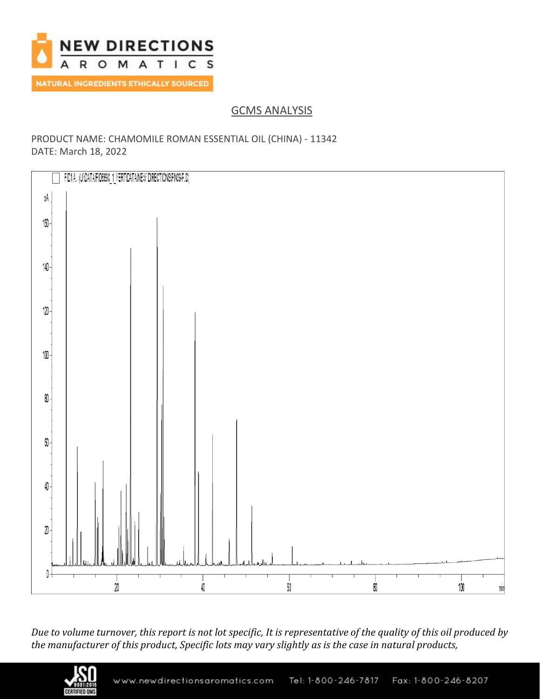

GCMS ANALYSIS

## PRODUCT NAME: CHAMOMILE ROMAN ESSENTIAL OIL (CHINA) - 11342 DATE: March 18, 2022



*Due to volume turnover, this report is not lot specific, It is representative of the quality of this oil produced by the manufacturer of this product, Specific lots may vary slightly as is the case in natural products,*

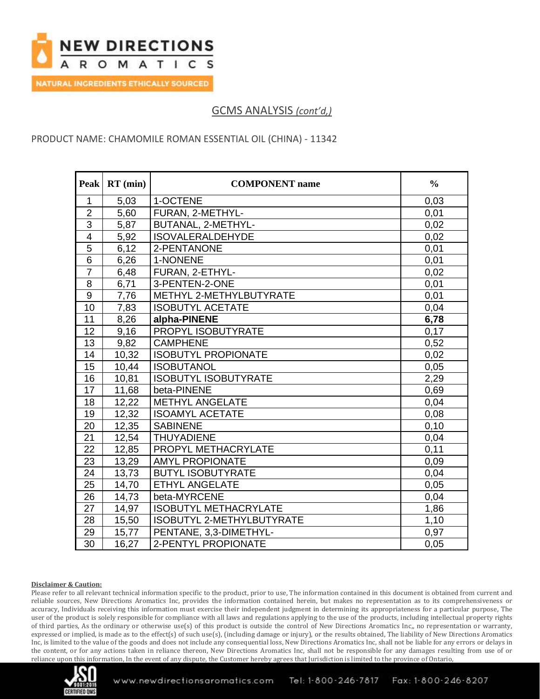

GCMS ANALYSIS *(cont'd,)*

### PRODUCT NAME: CHAMOMILE ROMAN ESSENTIAL OIL (CHINA) - 11342

| <b>Peak</b>             | $RT$ (min) | <b>COMPONENT</b> name        | $\frac{0}{0}$ |
|-------------------------|------------|------------------------------|---------------|
| $\mathbf{1}$            | 5,03       | 1-OCTENE                     | 0,03          |
| $\overline{2}$          | 5,60       | FURAN, 2-METHYL-             | 0,01          |
| $\overline{3}$          | 5,87       | BUTANAL, 2-METHYL-           | 0,02          |
| $\overline{\mathbf{4}}$ | 5,92       | <b>ISOVALERALDEHYDE</b>      | 0,02          |
| $\overline{5}$          | 6,12       | 2-PENTANONE                  | 0,01          |
| $6\phantom{1}$          | 6,26       | 1-NONENE                     | 0,01          |
| $\overline{7}$          | 6,48       | FURAN, 2-ETHYL-              | 0,02          |
| $\bf 8$                 | 6,71       | 3-PENTEN-2-ONE               | 0,01          |
| 9                       | 7,76       | METHYL 2-METHYLBUTYRATE      | 0,01          |
| 10                      | 7,83       | <b>ISOBUTYL ACETATE</b>      | 0,04          |
| 11                      | 8,26       | alpha-PINENE                 | 6,78          |
| 12                      | 9,16       | PROPYL ISOBUTYRATE           | 0,17          |
| 13                      | 9,82       | <b>CAMPHENE</b>              | 0,52          |
| 14                      | 10,32      | <b>ISOBUTYL PROPIONATE</b>   | 0,02          |
| 15                      | 10,44      | <b>ISOBUTANOL</b>            | 0,05          |
| 16                      | 10,81      | <b>ISOBUTYL ISOBUTYRATE</b>  | 2,29          |
| 17                      | 11,68      | beta-PINENE                  | 0,69          |
| 18                      | 12,22      | <b>METHYL ANGELATE</b>       | 0,04          |
| 19                      | 12,32      | <b>ISOAMYL ACETATE</b>       | 0,08          |
| 20                      | 12,35      | <b>SABINENE</b>              | 0,10          |
| 21                      | 12,54      | <b>THUYADIENE</b>            | 0,04          |
| $\overline{22}$         | 12,85      | PROPYL METHACRYLATE          | 0,11          |
| 23                      | 13,29      | <b>AMYL PROPIONATE</b>       | 0,09          |
| 24                      | 13,73      | <b>BUTYL ISOBUTYRATE</b>     | 0,04          |
| 25                      | 14,70      | <b>ETHYL ANGELATE</b>        | 0,05          |
| 26                      | 14,73      | beta-MYRCENE                 | 0,04          |
| 27                      | 14,97      | <b>ISOBUTYL METHACRYLATE</b> | 1,86          |
| 28                      | 15,50      | ISOBUTYL 2-METHYLBUTYRATE    | 1,10          |
| 29                      | 15,77      | PENTANE, 3,3-DIMETHYL-       | 0,97          |
| $\overline{30}$         | 16,27      | 2-PENTYL PROPIONATE          | 0,05          |

#### **Disclaimer & Caution:**

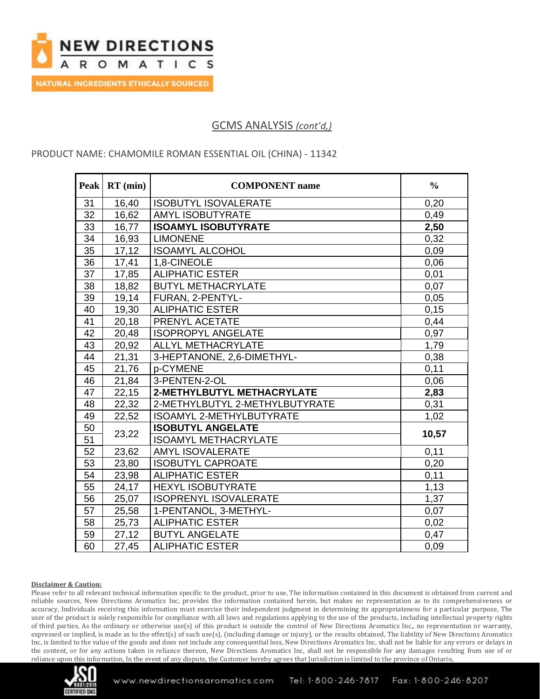

## GCMS ANALYSIS *(cont'd,)*

### PRODUCT NAME: CHAMOMILE ROMAN ESSENTIAL OIL (CHINA) - 11342

| <b>Peak</b>     | $RT$ (min) | <b>COMPONENT</b> name           | $\frac{0}{0}$ |
|-----------------|------------|---------------------------------|---------------|
| 31              | 16,40      | <b>ISOBUTYL ISOVALERATE</b>     | 0,20          |
| $\overline{32}$ | 16,62      | <b>AMYL ISOBUTYRATE</b>         | 0,49          |
| 33              | 16,77      | <b>ISOAMYL ISOBUTYRATE</b>      | 2,50          |
| 34              | 16,93      | <b>LIMONENE</b>                 | 0,32          |
| 35              | 17,12      | <b>ISOAMYL ALCOHOL</b>          | 0,09          |
| 36              | 17,41      | 1,8-CINEOLE                     | 0,06          |
| 37              | 17,85      | <b>ALIPHATIC ESTER</b>          | 0,01          |
| 38              | 18,82      | <b>BUTYL METHACRYLATE</b>       | 0,07          |
| 39              | 19,14      | FURAN, 2-PENTYL-                | 0,05          |
| 40              | 19,30      | <b>ALIPHATIC ESTER</b>          | 0,15          |
| 41              | 20,18      | PRENYL ACETATE                  | 0,44          |
| 42              | 20,48      | <b>ISOPROPYL ANGELATE</b>       | 0,97          |
| 43              | 20,92      | ALLYL METHACRYLATE              | 1,79          |
| 44              | 21,31      | 3-HEPTANONE, 2,6-DIMETHYL-      | 0,38          |
| 45              | 21,76      | p-CYMENE                        | 0,11          |
| 46              | 21,84      | 3-PENTEN-2-OL                   | 0,06          |
| 47              | 22,15      | 2-METHYLBUTYL METHACRYLATE      | 2,83          |
| 48              | 22,32      | 2-METHYLBUTYL 2-METHYLBUTYRATE  | 0,31          |
| 49              | 22,52      | <b>ISOAMYL 2-METHYLBUTYRATE</b> | 1,02          |
| $\overline{50}$ | 23,22      | <b>ISOBUTYL ANGELATE</b>        | 10,57         |
| 51              |            | <b>ISOAMYL METHACRYLATE</b>     |               |
| 52              | 23,62      | <b>AMYL ISOVALERATE</b>         | 0,11          |
| 53              | 23,80      | <b>ISOBUTYL CAPROATE</b>        | 0,20          |
| 54              | 23,98      | <b>ALIPHATIC ESTER</b>          | 0,11          |
| 55              | 24,17      | <b>HEXYL ISOBUTYRATE</b>        | 1,13          |
| 56              | 25,07      | <b>ISOPRENYL ISOVALERATE</b>    | 1,37          |
| 57              | 25,58      | 1-PENTANOL, 3-METHYL-           | 0,07          |
| 58              | 25,73      | <b>ALIPHATIC ESTER</b>          | 0,02          |
| 59              | 27,12      | <b>BUTYL ANGELATE</b>           | 0,47          |
| 60              | 27,45      | <b>ALIPHATIC ESTER</b>          | 0,09          |

#### **Disclaimer & Caution:**

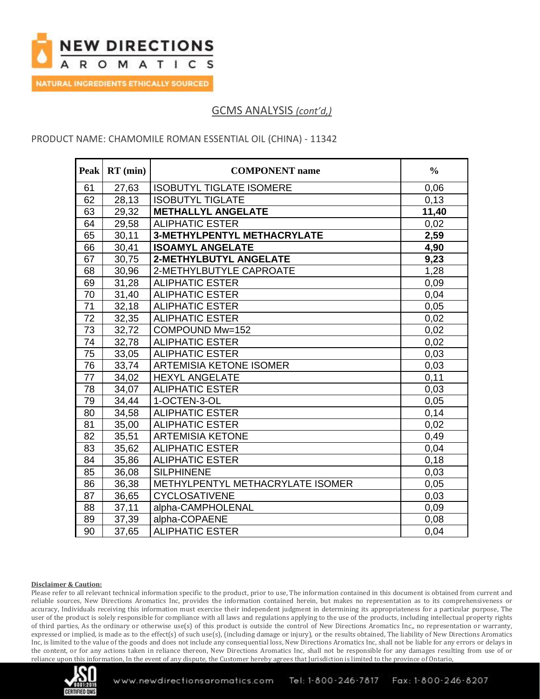

# GCMS ANALYSIS *(cont'd,)*

### PRODUCT NAME: CHAMOMILE ROMAN ESSENTIAL OIL (CHINA) - 11342

| <b>Peak</b>     | $RT$ (min) | <b>COMPONENT</b> name              | $\frac{0}{0}$ |
|-----------------|------------|------------------------------------|---------------|
| 61              | 27,63      | <b>ISOBUTYL TIGLATE ISOMERE</b>    | 0,06          |
| 62              | 28,13      | <b>ISOBUTYL TIGLATE</b>            | 0.13          |
| 63              | 29,32      | <b>METHALLYL ANGELATE</b>          | 11,40         |
| 64              | 29,58      | <b>ALIPHATIC ESTER</b>             | 0,02          |
| 65              | 30,11      | <b>3-METHYLPENTYL METHACRYLATE</b> | 2,59          |
| 66              | 30,41      | <b>ISOAMYL ANGELATE</b>            | 4,90          |
| 67              | 30,75      | 2-METHYLBUTYL ANGELATE             | 9,23          |
| 68              | 30,96      | 2-METHYLBUTYLE CAPROATE            | 1,28          |
| 69              | 31,28      | <b>ALIPHATIC ESTER</b>             | 0,09          |
| 70              | 31,40      | <b>ALIPHATIC ESTER</b>             | 0,04          |
| $\overline{71}$ | 32,18      | <b>ALIPHATIC ESTER</b>             | 0,05          |
| 72              | 32,35      | <b>ALIPHATIC ESTER</b>             | 0,02          |
| 73              | 32,72      | COMPOUND Mw=152                    | 0,02          |
| $\overline{74}$ | 32,78      | <b>ALIPHATIC ESTER</b>             | 0,02          |
| 75              | 33,05      | <b>ALIPHATIC ESTER</b>             | 0,03          |
| 76              | 33,74      | <b>ARTEMISIA KETONE ISOMER</b>     | 0,03          |
| 77              | 34,02      | <b>HEXYL ANGELATE</b>              | 0,11          |
| 78              | 34,07      | <b>ALIPHATIC ESTER</b>             | 0,03          |
| 79              | 34,44      | 1-OCTEN-3-OL                       | 0,05          |
| 80              | 34,58      | <b>ALIPHATIC ESTER</b>             | 0,14          |
| 81              | 35,00      | <b>ALIPHATIC ESTER</b>             | 0,02          |
| 82              | 35,51      | <b>ARTEMISIA KETONE</b>            | 0,49          |
| 83              | 35,62      | <b>ALIPHATIC ESTER</b>             | 0,04          |
| 84              | 35,86      | <b>ALIPHATIC ESTER</b>             | 0,18          |
| 85              | 36,08      | <b>SILPHINENE</b>                  | 0,03          |
| 86              | 36,38      | METHYLPENTYL METHACRYLATE ISOMER   | 0,05          |
| 87              | 36,65      | <b>CYCLOSATIVENE</b>               | 0,03          |
| 88              | 37,11      | alpha-CAMPHOLENAL                  | 0,09          |
| 89              | 37,39      | alpha-COPAENE                      | 0,08          |
| 90              | 37,65      | <b>ALIPHATIC ESTER</b>             | 0,04          |

#### **Disclaimer & Caution:**

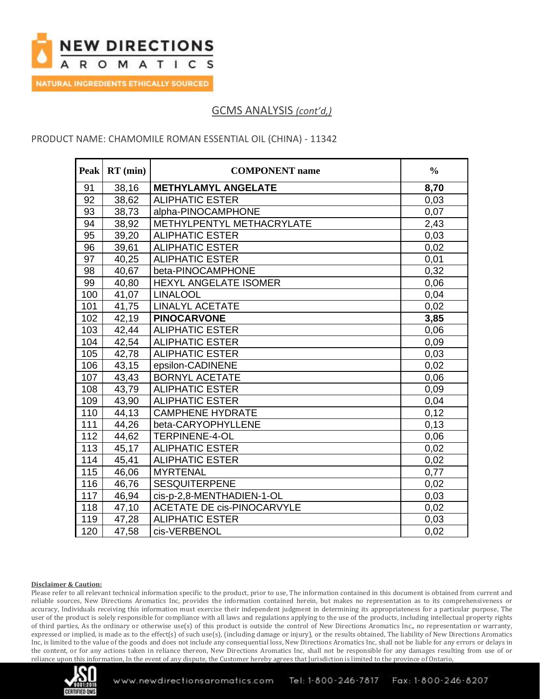

# GCMS ANALYSIS *(cont'd,)*

### PRODUCT NAME: CHAMOMILE ROMAN ESSENTIAL OIL (CHINA) - 11342

| <b>Peak</b>     | $RT$ (min) | <b>COMPONENT</b> name             | $\frac{0}{0}$ |
|-----------------|------------|-----------------------------------|---------------|
| 91              | 38,16      | <b>METHYLAMYL ANGELATE</b>        | 8,70          |
| $\overline{92}$ | 38,62      | <b>ALIPHATIC ESTER</b>            | 0,03          |
| 93              | 38,73      | alpha-PINOCAMPHONE                | 0,07          |
| 94              | 38,92      | METHYLPENTYL METHACRYLATE         | 2,43          |
| 95              | 39,20      | <b>ALIPHATIC ESTER</b>            | 0,03          |
| 96              | 39,61      | <b>ALIPHATIC ESTER</b>            | 0,02          |
| 97              | 40,25      | <b>ALIPHATIC ESTER</b>            | 0,01          |
| 98              | 40,67      | beta-PINOCAMPHONE                 | 0,32          |
| 99              | 40,80      | <b>HEXYL ANGELATE ISOMER</b>      | 0,06          |
| 100             | 41,07      | <b>LINALOOL</b>                   | 0,04          |
| 101             | 41,75      | <b>LINALYL ACETATE</b>            | 0,02          |
| 102             | 42,19      | <b>PINOCARVONE</b>                | 3,85          |
| 103             | 42,44      | <b>ALIPHATIC ESTER</b>            | 0,06          |
| 104             | 42,54      | <b>ALIPHATIC ESTER</b>            | 0,09          |
| 105             | 42,78      | <b>ALIPHATIC ESTER</b>            | 0,03          |
| 106             | 43,15      | epsilon-CADINENE                  | 0,02          |
| 107             | 43,43      | <b>BORNYL ACETATE</b>             | 0,06          |
| 108             | 43,79      | <b>ALIPHATIC ESTER</b>            | 0,09          |
| 109             | 43,90      | <b>ALIPHATIC ESTER</b>            | 0,04          |
| 110             | 44,13      | <b>CAMPHENE HYDRATE</b>           | 0,12          |
| 111             | 44,26      | beta-CARYOPHYLLENE                | 0,13          |
| 112             | 44,62      | <b>TERPINENE-4-OL</b>             | 0,06          |
| 113             | 45,17      | <b>ALIPHATIC ESTER</b>            | 0,02          |
| 114             | 45,41      | <b>ALIPHATIC ESTER</b>            | 0,02          |
| 115             | 46,06      | <b>MYRTENAL</b>                   | 0,77          |
| 116             | 46,76      | <b>SESQUITERPENE</b>              | 0,02          |
| 117             | 46,94      | cis-p-2,8-MENTHADIEN-1-OL         | 0,03          |
| 118             | 47,10      | <b>ACETATE DE cis-PINOCARVYLE</b> | 0,02          |
| 119             | 47,28      | <b>ALIPHATIC ESTER</b>            | 0,03          |
| 120             | 47,58      | cis-VERBENOL                      | 0,02          |

#### **Disclaimer & Caution:**

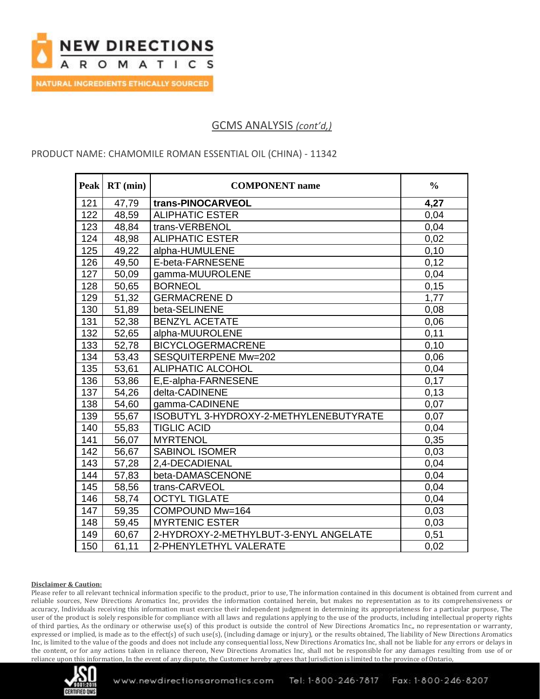

## GCMS ANALYSIS *(cont'd,)*

### PRODUCT NAME: CHAMOMILE ROMAN ESSENTIAL OIL (CHINA) - 11342

| <b>Peak</b> | $RT$ (min) | <b>COMPONENT</b> name                  | $\frac{0}{0}$ |
|-------------|------------|----------------------------------------|---------------|
| 121         | 47,79      | trans-PINOCARVEOL                      | 4,27          |
| 122         | 48,59      | <b>ALIPHATIC ESTER</b>                 | 0,04          |
| 123         | 48,84      | trans-VERBENOL                         | 0,04          |
| 124         | 48,98      | <b>ALIPHATIC ESTER</b>                 | 0,02          |
| 125         | 49,22      | alpha-HUMULENE                         | 0,10          |
| 126         | 49,50      | E-beta-FARNESENE                       | 0,12          |
| 127         | 50,09      | gamma-MUUROLENE                        | 0,04          |
| 128         | 50,65      | <b>BORNEOL</b>                         | 0, 15         |
| 129         | 51,32      | <b>GERMACRENE D</b>                    | 1,77          |
| 130         | 51,89      | beta-SELINENE                          | 0,08          |
| 131         | 52,38      | <b>BENZYL ACETATE</b>                  | 0,06          |
| 132         | 52,65      | alpha-MUUROLENE                        | 0,11          |
| 133         | 52,78      | <b>BICYCLOGERMACRENE</b>               | 0,10          |
| 134         | 53,43      | SESQUITERPENE Mw=202                   | 0,06          |
| 135         | 53,61      | <b>ALIPHATIC ALCOHOL</b>               | 0,04          |
| 136         | 53,86      | E,E-alpha-FARNESENE                    | 0,17          |
| 137         | 54,26      | delta-CADINENE                         | 0,13          |
| 138         | 54,60      | gamma-CADINENE                         | 0,07          |
| 139         | 55,67      | ISOBUTYL 3-HYDROXY-2-METHYLENEBUTYRATE | 0,07          |
| 140         | 55,83      | <b>TIGLIC ACID</b>                     | 0,04          |
| 141         | 56,07      | <b>MYRTENOL</b>                        | 0,35          |
| 142         | 56,67      | <b>SABINOL ISOMER</b>                  | 0,03          |
| 143         | 57,28      | 2,4-DECADIENAL                         | 0,04          |
| 144         | 57,83      | beta-DAMASCENONE                       | 0,04          |
| 145         | 58,56      | trans-CARVEOL                          | 0,04          |
| 146         | 58,74      | <b>OCTYL TIGLATE</b>                   | 0,04          |
| 147         | 59,35      | COMPOUND Mw=164                        | 0,03          |
| 148         | 59,45      | <b>MYRTENIC ESTER</b>                  | 0,03          |
| 149         | 60,67      | 2-HYDROXY-2-METHYLBUT-3-ENYL ANGELATE  | 0,51          |
| 150         | 61,11      | 2-PHENYLETHYL VALERATE                 | 0,02          |

#### **Disclaimer & Caution:**

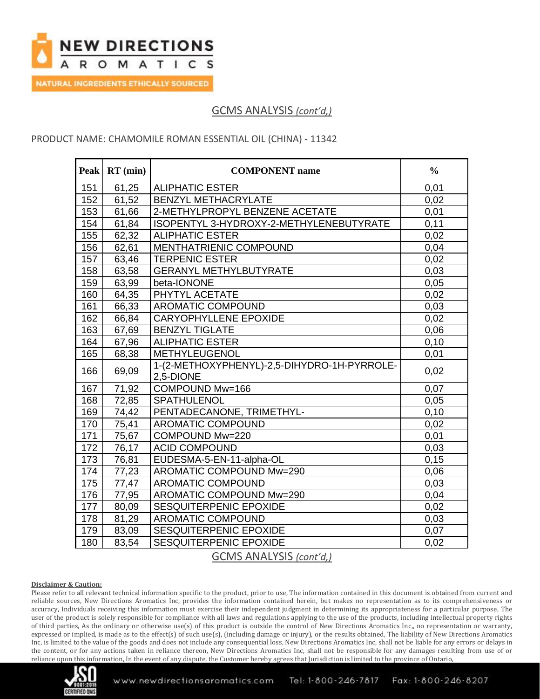

# GCMS ANALYSIS *(cont'd,)*

### PRODUCT NAME: CHAMOMILE ROMAN ESSENTIAL OIL (CHINA) - 11342

| <b>Peak</b>                    | $RT$ (min) | <b>COMPONENT</b> name                                    | $\frac{0}{0}$ |
|--------------------------------|------------|----------------------------------------------------------|---------------|
| 151                            | 61,25      | <b>ALIPHATIC ESTER</b>                                   | 0,01          |
| 152                            | 61,52      | <b>BENZYL METHACRYLATE</b>                               | 0,02          |
| 153                            | 61,66      | 2-METHYLPROPYL BENZENE ACETATE                           | 0,01          |
| 154                            | 61,84      | ISOPENTYL 3-HYDROXY-2-METHYLENEBUTYRATE                  | 0,11          |
| 155                            | 62,32      | <b>ALIPHATIC ESTER</b>                                   | 0,02          |
| 156                            | 62,61      | MENTHATRIENIC COMPOUND                                   | 0,04          |
| 157                            | 63,46      | <b>TERPENIC ESTER</b>                                    | 0,02          |
| 158                            | 63,58      | <b>GERANYL METHYLBUTYRATE</b>                            | 0,03          |
| 159                            | 63,99      | beta-IONONE                                              | 0,05          |
| 160                            | 64,35      | PHYTYL ACETATE                                           | 0,02          |
| 161                            | 66,33      | <b>AROMATIC COMPOUND</b>                                 | 0,03          |
| 162                            | 66,84      | <b>CARYOPHYLLENE EPOXIDE</b>                             | 0,02          |
| 163                            | 67,69      | <b>BENZYL TIGLATE</b>                                    | 0,06          |
| 164                            | 67,96      | <b>ALIPHATIC ESTER</b>                                   | 0,10          |
| 165                            | 68,38      | METHYLEUGENOL                                            | 0,01          |
| 166                            | 69,09      | 1-(2-METHOXYPHENYL)-2,5-DIHYDRO-1H-PYRROLE-<br>2,5-DIONE | 0,02          |
| 167                            | 71,92      | COMPOUND Mw=166                                          | 0,07          |
| 168                            | 72,85      | SPATHULENOL                                              | 0,05          |
| 169                            | 74,42      | PENTADECANONE, TRIMETHYL-                                | 0,10          |
| 170                            | 75,41      | <b>AROMATIC COMPOUND</b>                                 | 0,02          |
| 171                            | 75,67      | COMPOUND Mw=220                                          | 0,01          |
| 172                            | 76,17      | <b>ACID COMPOUND</b>                                     | 0,03          |
| 173                            | 76,81      | EUDESMA-5-EN-11-alpha-OL                                 | 0,15          |
| 174                            | 77,23      | AROMATIC COMPOUND Mw=290                                 | 0,06          |
| 175                            | 77,47      | <b>AROMATIC COMPOUND</b>                                 | 0,03          |
| 176                            | 77,95      | AROMATIC COMPOUND Mw=290                                 | 0,04          |
| 177                            | 80,09      | SESQUITERPENIC EPOXIDE                                   | 0,02          |
| 178                            | 81,29      | <b>AROMATIC COMPOUND</b>                                 | 0,03          |
| 179                            | 83,09      | <b>SESQUITERPENIC EPOXIDE</b>                            | 0,07          |
| 180                            | 83,54      | SESQUITERPENIC EPOXIDE                                   | 0,02          |
| <b>GCMS ANALYSIS (cont'd.)</b> |            |                                                          |               |

#### **Disclaimer & Caution:**